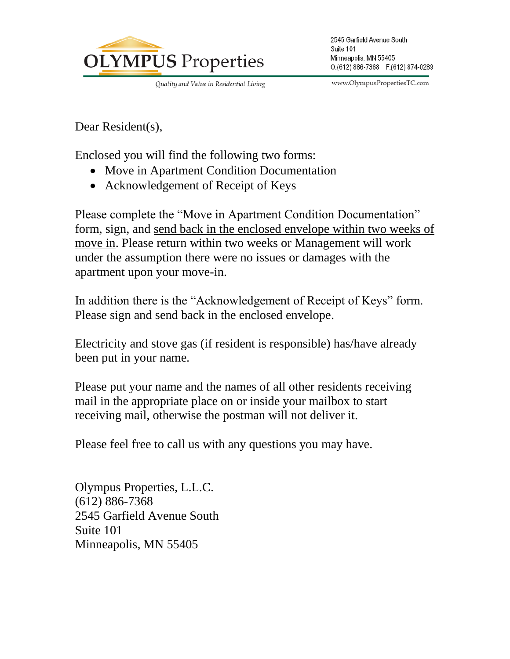

Quality and Value in Residential Living

www.OlympusPropertiesTC.com

Dear Resident(s),

Enclosed you will find the following two forms:

- Move in Apartment Condition Documentation
- Acknowledgement of Receipt of Keys

Please complete the "Move in Apartment Condition Documentation" form, sign, and send back in the enclosed envelope within two weeks of move in. Please return within two weeks or Management will work under the assumption there were no issues or damages with the apartment upon your move-in.

In addition there is the "Acknowledgement of Receipt of Keys" form. Please sign and send back in the enclosed envelope.

Electricity and stove gas (if resident is responsible) has/have already been put in your name.

Please put your name and the names of all other residents receiving mail in the appropriate place on or inside your mailbox to start receiving mail, otherwise the postman will not deliver it.

Please feel free to call us with any questions you may have.

Olympus Properties, L.L.C. (612) 886-7368 2545 Garfield Avenue South Suite 101 Minneapolis, MN 55405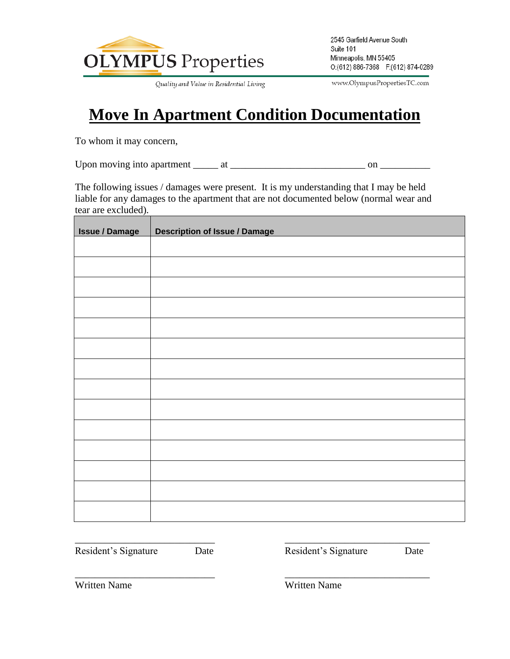

Quality and Value in Residential Living

2545 Garfield Avenue South Suite 101 Minneapolis, MN 55405 O:(612) 886-7368 F:(612) 874-0289

www.OlympusPropertiesTC.com

## **Move In Apartment Condition Documentation**

To whom it may concern,

Upon moving into apartment  $\frac{1}{\sqrt{1-\frac{1}{2}}}$  at  $\frac{1}{\sqrt{1-\frac{1}{2}}}$  on  $\frac{1}{\sqrt{1-\frac{1}{2}}}$ 

The following issues / damages were present. It is my understanding that I may be held liable for any damages to the apartment that are not documented below (normal wear and tear are excluded).

| <b>Issue / Damage</b> | <b>Description of Issue / Damage</b> |
|-----------------------|--------------------------------------|
|                       |                                      |
|                       |                                      |
|                       |                                      |
|                       |                                      |
|                       |                                      |
|                       |                                      |
|                       |                                      |
|                       |                                      |
|                       |                                      |
|                       |                                      |
|                       |                                      |
|                       |                                      |
|                       |                                      |
|                       |                                      |
|                       |                                      |

\_\_\_\_\_\_\_\_\_\_\_\_\_\_\_\_\_\_\_\_\_\_\_\_\_\_\_\_ \_\_\_\_\_\_\_\_\_\_\_\_\_\_\_\_\_\_\_\_\_\_\_\_\_\_\_\_\_

\_\_\_\_\_\_\_\_\_\_\_\_\_\_\_\_\_\_\_\_\_\_\_\_\_\_\_\_ \_\_\_\_\_\_\_\_\_\_\_\_\_\_\_\_\_\_\_\_\_\_\_\_\_\_\_\_\_

Resident's Signature Date **Date** Resident's Signature Date

Written Name Written Name